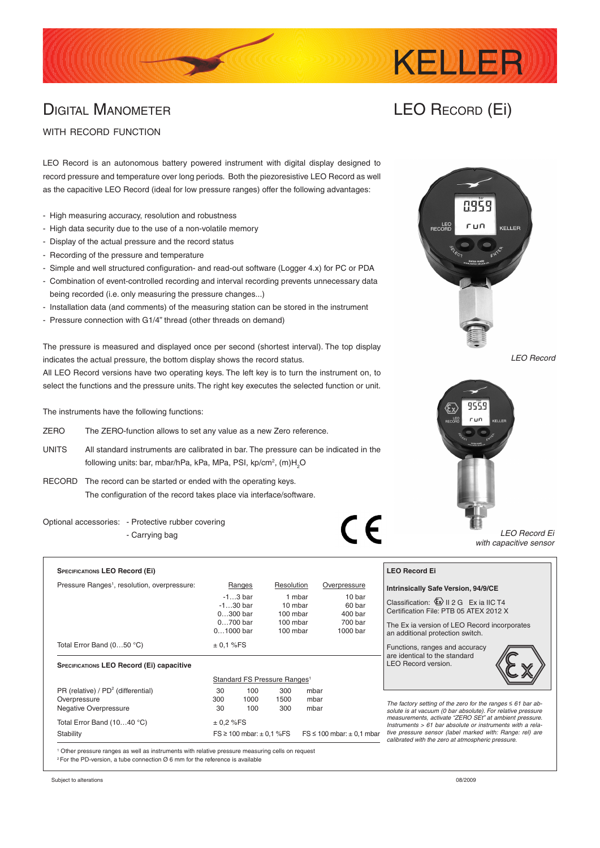# DIGITAL MANOMETER

## LEO Record (Ei)

**KELLER** 

### WITH RECORD FUNCTION

LEO Record is an autonomous battery powered instrument with digital display designed to record pressure and temperature over long periods. Both the piezoresistive LEO Record as well as the capacitive LEO Record (ideal for low pressure ranges) offer the following advantages:

- High measuring accuracy, resolution and robustness
- High data security due to the use of a non-volatile memory
- Display of the actual pressure and the record status
- Recording of the pressure and temperature
- Simple and well structured configuration- and read-out software (Logger 4.x) for PC or PDA
- Combination of event-controlled recording and interval recording prevents unnecessary data being recorded (i.e. only measuring the pressure changes...)
- Installation data (and comments) of the measuring station can be stored in the instrument
- Pressure connection with G1/4" thread (other threads on demand)

The pressure is measured and displayed once per second (shortest interval). The top display indicates the actual pressure, the bottom display shows the record status.

All LEO Record versions have two operating keys. The left key is to turn the instrument on, to select the functions and the pressure units. The right key executes the selected function or unit.

The instruments have the following functions:

- ZERO The ZERO-function allows to set any value as a new Zero reference.
- UNITS All standard instruments are calibrated in bar. The pressure can be indicated in the following units: bar, mbar/hPa, kPa, MPa, PSI, kp/cm², (m)H<sub>2</sub>O
- RECORD The record can be started or ended with the operating keys. The configuration of the record takes place via interface/software.

Optional accessories: - Protective rubber covering - Carrying bag

| <b>SPECIFICATIONS LEO Record (Ei)</b>                    |                                                                       |            |            |        |              |  |
|----------------------------------------------------------|-----------------------------------------------------------------------|------------|------------|--------|--------------|--|
| Pressure Ranges <sup>1</sup> , resolution, overpressure: | Ranges                                                                |            | Resolution |        | Overpressure |  |
|                                                          |                                                                       | $-13$ bar  |            | 1 mbar | 10 bar       |  |
|                                                          |                                                                       | $-130$ bar | 10 mbar    |        | 60 bar       |  |
|                                                          | $0300$ bar                                                            |            | 100 mbar   |        | 400 bar      |  |
|                                                          | $0700$ bar<br>100 mbar                                                |            | 700 bar    |        |              |  |
|                                                          | $01000$ bar                                                           |            | 100 mbar   |        | 1000 bar     |  |
| Total Error Band (050 °C)                                | ± 0.1 %FS                                                             |            |            |        |              |  |
| <b>SPECIFICATIONS LEO Record (Ei) capacitive</b>         |                                                                       |            |            |        |              |  |
|                                                          | Standard FS Pressure Ranges <sup>1</sup>                              |            |            |        |              |  |
| PR (relative) / $PD2$ (differential)                     | 30                                                                    | 100        | 300        | mbar   |              |  |
| Overpressure                                             | 300                                                                   | 1000       | 1500       | mbar   |              |  |
| <b>Negative Overpressure</b>                             | 30                                                                    | 100        | 300        | mbar   |              |  |
| Total Error Band (1040 °C)                               | ± 0.2 %FS                                                             |            |            |        |              |  |
| Stability                                                | $FS \ge 100$ mbar: $\pm 0.1$ %FS<br>$FS \le 100$ mbar: $\pm 0.1$ mbar |            |            |        |              |  |

1 Other pressure ranges as well as instruments with relative pressure measuring cells on request  $2$  For the PD-version, a tube connection  $\varnothing$  6 mm for the reference is available



*LEO Record*



*LEO Record Ei with capacitive sensor*

#### **LEO Record Ei**

 $\epsilon$ 

#### **Intrinsically Safe Version, 94/9/CE**

Classification:  $\bigotimes$  II 2 G Ex ia IIC T4 Certification File: PTB 05 ATEX 2012 X

The Ex ia version of LEO Record incorporates an additional protection switch.

Functions, ranges and accuracy are identical to the standard LEO Record version.



*The factory setting of the zero for the ranges ≤ 61 bar absolute is at vacuum (0 bar absolute). For relative pressure measurements, activate "ZERO SEt" at ambient pressure. Instruments > 61 bar absolute or instruments with a relative pressure sensor (label marked with: Range: rel) are calibrated with the zero at atmospheric pressure.* 

Subject to alterations 08/2009